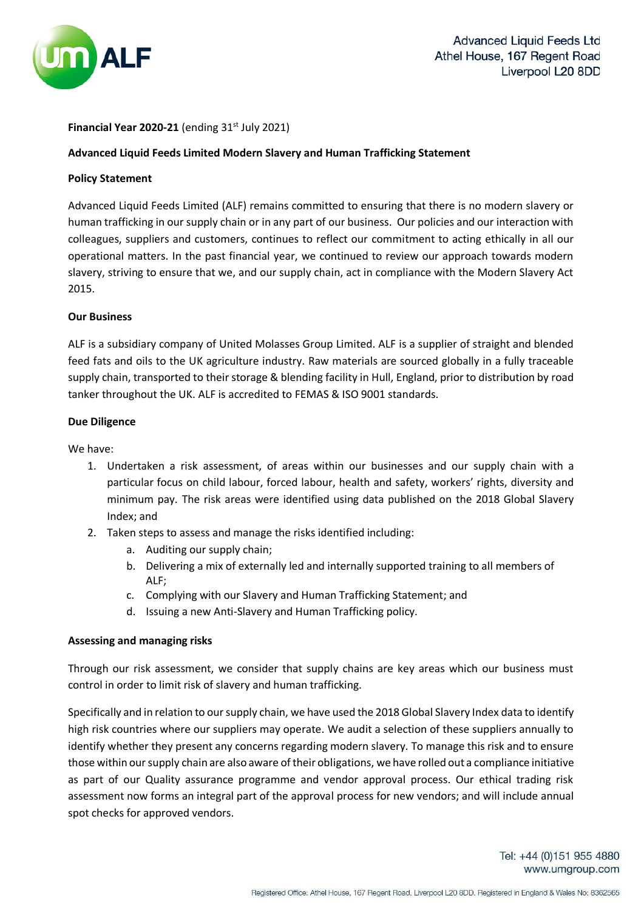

## **Financial Year 2020-21** (ending  $31<sup>st</sup>$  July 2021)

## **Advanced Liquid Feeds Limited Modern Slavery and Human Trafficking Statement**

## **Policy Statement**

Advanced Liquid Feeds Limited (ALF) remains committed to ensuring that there is no modern slavery or human trafficking in our supply chain or in any part of our business. Our policies and our interaction with colleagues, suppliers and customers, continues to reflect our commitment to acting ethically in all our operational matters. In the past financial year, we continued to review our approach towards modern slavery, striving to ensure that we, and our supply chain, act in compliance with the Modern Slavery Act 2015.

# **Our Business**

ALF is a subsidiary company of United Molasses Group Limited. ALF is a supplier of straight and blended feed fats and oils to the UK agriculture industry. Raw materials are sourced globally in a fully traceable supply chain, transported to their storage & blending facility in Hull, England, prior to distribution by road tanker throughout the UK. ALF is accredited to FEMAS & ISO 9001 standards.

# **Due Diligence**

We have:

- 1. Undertaken a risk assessment, of areas within our businesses and our supply chain with a particular focus on child labour, forced labour, health and safety, workers' rights, diversity and minimum pay. The risk areas were identified using data published on the 2018 Global Slavery Index; and
- 2. Taken steps to assess and manage the risks identified including:
	- a. Auditing our supply chain;
	- b. Delivering a mix of externally led and internally supported training to all members of ALF;
	- c. Complying with our Slavery and Human Trafficking Statement; and
	- d. Issuing a new Anti-Slavery and Human Trafficking policy.

## **Assessing and managing risks**

Through our risk assessment, we consider that supply chains are key areas which our business must control in order to limit risk of slavery and human trafficking.

Specifically and in relation to our supply chain, we have used the 2018 Global Slavery Index data to identify high risk countries where our suppliers may operate. We audit a selection of these suppliers annually to identify whether they present any concerns regarding modern slavery. To manage this risk and to ensure those within our supply chain are also aware of their obligations, we have rolled out a compliance initiative as part of our Quality assurance programme and vendor approval process. Our ethical trading risk assessment now forms an integral part of the approval process for new vendors; and will include annual spot checks for approved vendors.

> Tel: +44 (0)151 955 4880 www.umgroup.com